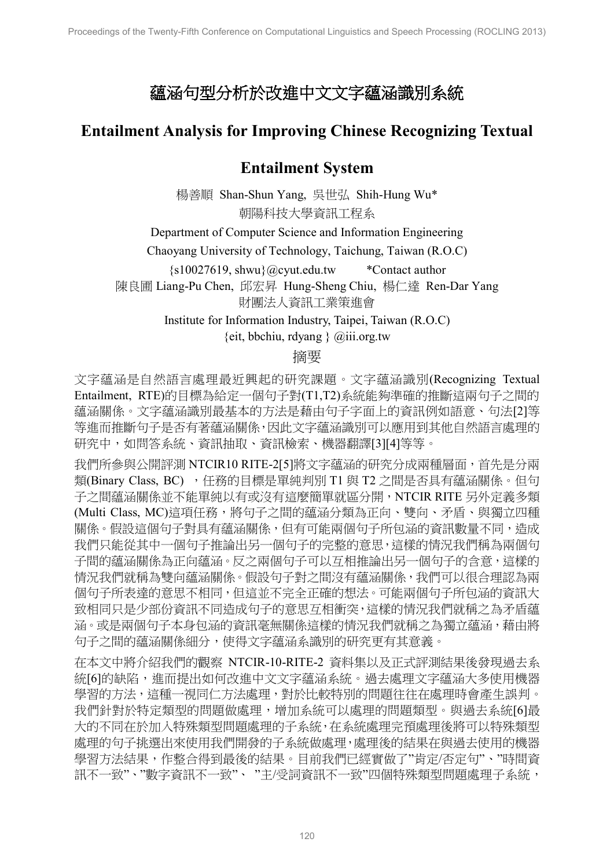## 蘊涵句型分析於改進中文文字蘊涵識別系統

## **Entailment Analysis for Improving Chinese Recognizing Textual**

## **Entailment System**

楊善順 Shan-Shun Yang, 吳世弘 Shih-Hung Wu\* 朝陽科技大學資訊工程系

Department of Computer Science and Information Engineering

Chaoyang University of Technology, Taichung, Taiwan (R.O.C)

{s10027619, shwu}@cyut.edu.tw \*Contact author

陳良圃 Liang-Pu Chen, 邱宏昇 Hung-Sheng Chiu, 楊仁達 Ren-Dar Yang

財團法人資訊工業策進會

Institute for Information Industry, Taipei, Taiwan (R.O.C)  $\{eit, b$ bchiu, rdyang  $\}$  @iii.org.tw

## 摘要

文字蘊涵是自然語言處理最近興起的研究課題。文字蘊涵識別(Recognizing Textual Entailment, RTE)的目標為給定一個句子對(T1,T2)系統能夠準確的推斷這兩句子之間的 蘊涵關係。文字蘊涵識別最基本的方法是藉由句子字面上的資訊例如語意、句法[2]等 等進而推斷句子是否有著蘊涵關係,因此文字蘊涵識別可以應用到其他自然語言處理的 研究中,如問答系統、資訊抽取、資訊檢索、機器翻譯[3][4]等等。

我們所參與公開評測 NTCIR10 RITE-2[5]將文字蘊涵的研究分成兩種層面, 首先是分兩 類(Binary Class, BC), 任務的目標是單純判別 T1 與 T2 之間是否具有蘊涵關係。但句 子之間蘊涵關係並不能單純以有或沒有這麼簡單就區分開,NTCIR RITE 另外定義多類 (Multi Class, MC)這項任務,將句子之間的蘊涵分類為正向、雙向、矛盾、與獨立四種 關係。假設這個句子對具有蘊涵關係,但有可能兩個句子所包涵的資訊數量不同,造成 我們只能從其中一個句子推論出另一個句子的完整的意思,這樣的情況我們稱為兩個句 子間的蘊涵關係為正向蘊涵。反之兩個句子可以互相推論出另一個句子的含意,這樣的 情況我們就稱為雙向蘊涵關係。假設句子對之間沒有蘊涵關係,我們可以很合理認為兩 個句子所表達的意思不相同,但這並不完全正確的想法。可能兩個句子所包涵的資訊大 致相同只是少部份資訊不同造成句子的意思互相衝突,這樣的情況我們就稱之為矛盾蘊 涵。或是兩個句子本身包涵的資訊毫無關係這樣的情況我們就稱之為獨立蘊涵,藉由將 句子之間的蘊涵關係細分,使得文字蘊涵系識別的研究更有其意義。

在本文中將介紹我們的觀察 NTCIR-10-RITE-2 資料集以及正式評測結果後發現過去系 統[6]的缺陷,進而提出如何改進中文文字蘊涵系統。過去處理文字蘊涵大多使用機器 學習的方法,這種一視同仁方法處理,對於比較特別的問題往往在處理時會產生誤判。 我們針對於特定類型的問題做處理,增加系統可以處理的問題類型。與過去系統[6]最 大的不同在於加入特殊類型問題處理的子系統,在系統處理完預處理後將可以特殊類型 處理的句子挑選出來使用我們開發的子系統做處理,處理後的結果在與過去使用的機器 學習方法結果,作整合得到最後的結果。目前我們已經實做了"肯定/否定句"、"時間資 訊不一致"、"數字資訊不一致"主/受詞資訊不一致"四個特殊類型問題處理子系統,